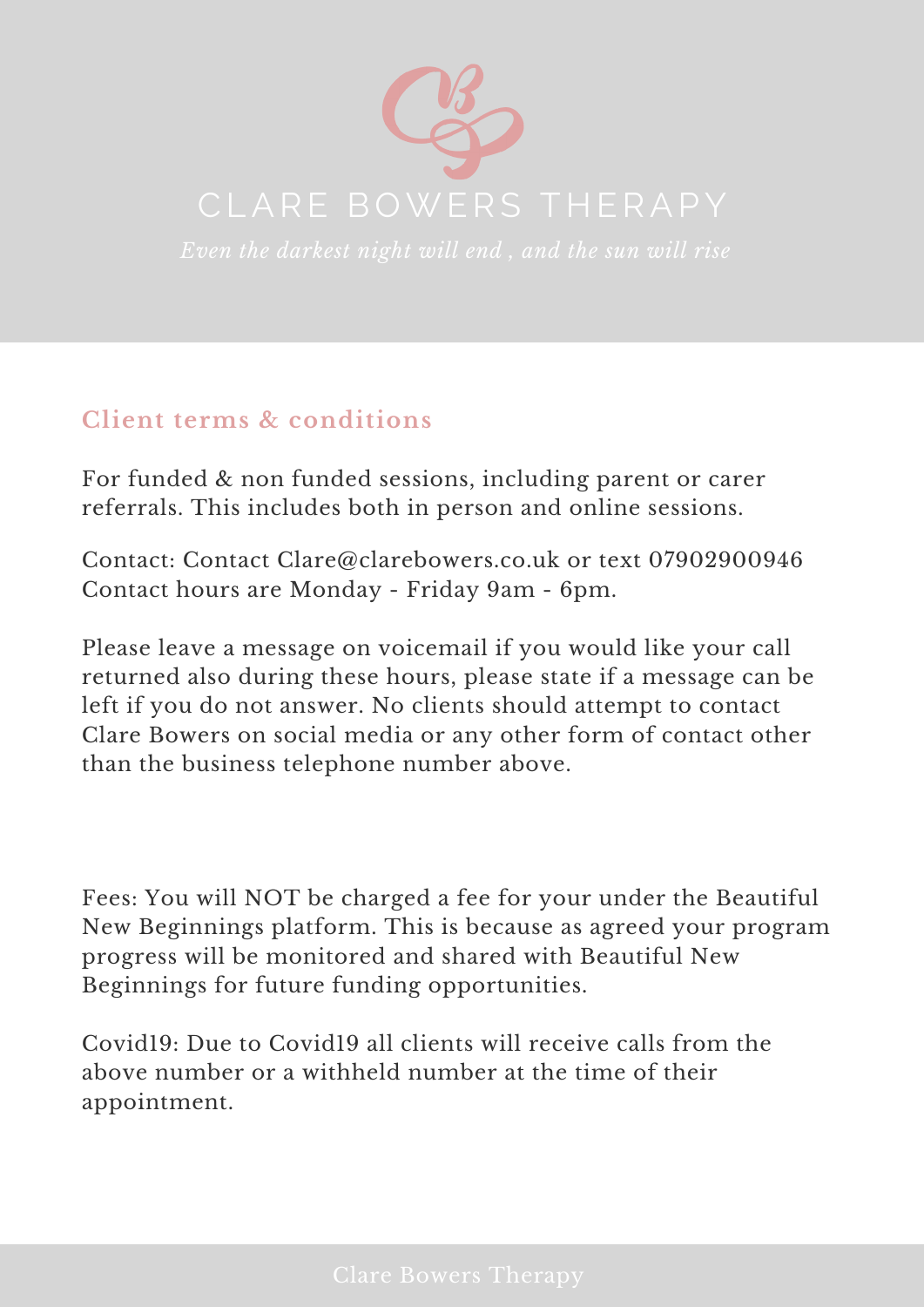

## **Client terms & conditions**

For funded & non funded sessions, including parent or carer referrals. This includes both in person and online sessions.

Contact: Contact [Clare@clarebowers.co.uk](mailto:clare@clarebowers.co.uk) or text [07902900946](tel:07902900946) Contact hours are Monday - Friday 9am - 6pm.

Please leave a message on voicemail if you would like your call returned also during these hours, please state if a message can be left if you do not answer. No clients should attempt to contact Clare Bowers on social media or any other form of contact other than the business telephone number above.

Fees: You will NOT be charged a fee for your under the Beautiful New Beginnings platform. This is because as agreed your program progress will be monitored and shared with Beautiful New Beginnings for future funding opportunities.

Covid19: Due to Covid19 all clients will receive calls from the above number or a withheld number at the time of their appointment.